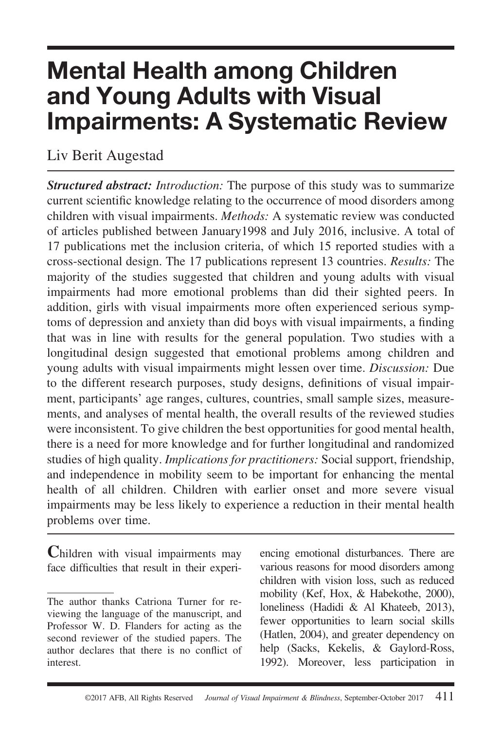# **Mental Health among Children and Young Adults with Visual Impairments: A Systematic Review**

Liv Berit Augestad

*Structured abstract: Introduction:* The purpose of this study was to summarize current scientific knowledge relating to the occurrence of mood disorders among children with visual impairments. *Methods:* A systematic review was conducted of articles published between January1998 and July 2016, inclusive. A total of 17 publications met the inclusion criteria, of which 15 reported studies with a cross-sectional design. The 17 publications represent 13 countries. *Results:* The majority of the studies suggested that children and young adults with visual impairments had more emotional problems than did their sighted peers. In addition, girls with visual impairments more often experienced serious symptoms of depression and anxiety than did boys with visual impairments, a finding that was in line with results for the general population. Two studies with a longitudinal design suggested that emotional problems among children and young adults with visual impairments might lessen over time. *Discussion:* Due to the different research purposes, study designs, definitions of visual impairment, participants' age ranges, cultures, countries, small sample sizes, measurements, and analyses of mental health, the overall results of the reviewed studies were inconsistent. To give children the best opportunities for good mental health, there is a need for more knowledge and for further longitudinal and randomized studies of high quality. *Implications for practitioners:* Social support, friendship, and independence in mobility seem to be important for enhancing the mental health of all children. Children with earlier onset and more severe visual impairments may be less likely to experience a reduction in their mental health problems over time.

**C**hildren with visual impairments may face difficulties that result in their experiencing emotional disturbances. There are various reasons for mood disorders among children with vision loss, such as reduced mobility (Kef, Hox, & Habekothe, 2000), loneliness (Hadidi & Al Khateeb, 2013), fewer opportunities to learn social skills (Hatlen, 2004), and greater dependency on help (Sacks, Kekelis, & Gaylord-Ross, 1992). Moreover, less participation in

The author thanks Catriona Turner for reviewing the language of the manuscript, and Professor W. D. Flanders for acting as the second reviewer of the studied papers. The author declares that there is no conflict of interest.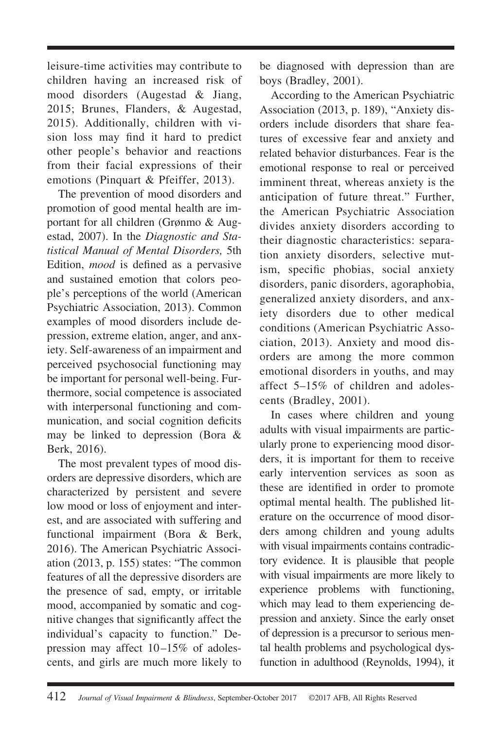leisure-time activities may contribute to children having an increased risk of mood disorders (Augestad & Jiang, 2015; Brunes, Flanders, & Augestad, 2015). Additionally, children with vision loss may find it hard to predict other people's behavior and reactions from their facial expressions of their emotions (Pinquart & Pfeiffer, 2013).

The prevention of mood disorders and promotion of good mental health are important for all children (Grønmo & Augestad, 2007). In the *Diagnostic and Statistical Manual of Mental Disorders,* 5th Edition, *mood* is defined as a pervasive and sustained emotion that colors people's perceptions of the world (American Psychiatric Association, 2013). Common examples of mood disorders include depression, extreme elation, anger, and anxiety. Self-awareness of an impairment and perceived psychosocial functioning may be important for personal well-being. Furthermore, social competence is associated with interpersonal functioning and communication, and social cognition deficits may be linked to depression (Bora & Berk, 2016).

The most prevalent types of mood disorders are depressive disorders, which are characterized by persistent and severe low mood or loss of enjoyment and interest, and are associated with suffering and functional impairment (Bora & Berk, 2016). The American Psychiatric Association (2013, p. 155) states: "The common features of all the depressive disorders are the presence of sad, empty, or irritable mood, accompanied by somatic and cognitive changes that significantly affect the individual's capacity to function." Depression may affect  $10-15\%$  of adolescents, and girls are much more likely to

be diagnosed with depression than are boys (Bradley, 2001).

According to the American Psychiatric Association (2013, p. 189), "Anxiety disorders include disorders that share features of excessive fear and anxiety and related behavior disturbances. Fear is the emotional response to real or perceived imminent threat, whereas anxiety is the anticipation of future threat." Further, the American Psychiatric Association divides anxiety disorders according to their diagnostic characteristics: separation anxiety disorders, selective mutism, specific phobias, social anxiety disorders, panic disorders, agoraphobia, generalized anxiety disorders, and anxiety disorders due to other medical conditions (American Psychiatric Association, 2013). Anxiety and mood disorders are among the more common emotional disorders in youths, and may affect 5–15% of children and adolescents (Bradley, 2001).

In cases where children and young adults with visual impairments are particularly prone to experiencing mood disorders, it is important for them to receive early intervention services as soon as these are identified in order to promote optimal mental health. The published literature on the occurrence of mood disorders among children and young adults with visual impairments contains contradictory evidence. It is plausible that people with visual impairments are more likely to experience problems with functioning, which may lead to them experiencing depression and anxiety. Since the early onset of depression is a precursor to serious mental health problems and psychological dysfunction in adulthood (Reynolds, 1994), it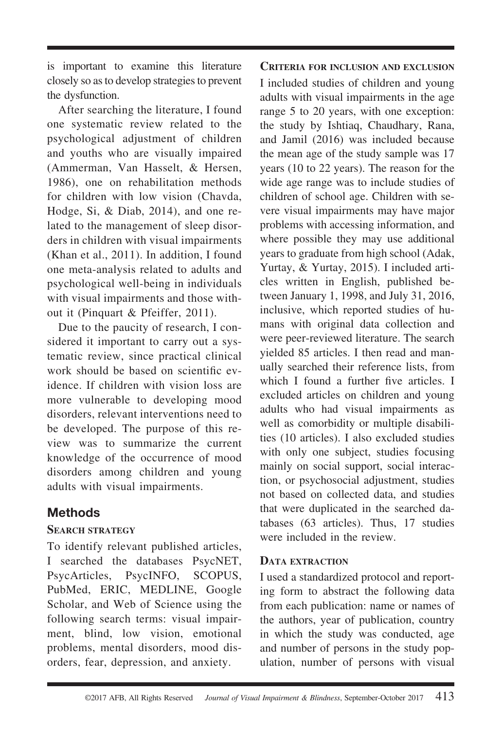is important to examine this literature closely so as to develop strategies to prevent the dysfunction.

After searching the literature, I found one systematic review related to the psychological adjustment of children and youths who are visually impaired (Ammerman, Van Hasselt, & Hersen, 1986), one on rehabilitation methods for children with low vision (Chavda, Hodge, Si, & Diab, 2014), and one related to the management of sleep disorders in children with visual impairments (Khan et al., 2011). In addition, I found one meta-analysis related to adults and psychological well-being in individuals with visual impairments and those without it (Pinquart & Pfeiffer, 2011).

Due to the paucity of research, I considered it important to carry out a systematic review, since practical clinical work should be based on scientific evidence. If children with vision loss are more vulnerable to developing mood disorders, relevant interventions need to be developed. The purpose of this review was to summarize the current knowledge of the occurrence of mood disorders among children and young adults with visual impairments.

# **Methods**

## **SEARCH STRATEGY**

To identify relevant published articles, I searched the databases PsycNET, PsycArticles, PsycINFO, SCOPUS, PubMed, ERIC, MEDLINE, Google Scholar, and Web of Science using the following search terms: visual impairment, blind, low vision, emotional problems, mental disorders, mood disorders, fear, depression, and anxiety.

#### **CRITERIA FOR INCLUSION AND EXCLUSION**

I included studies of children and young adults with visual impairments in the age range 5 to 20 years, with one exception: the study by Ishtiaq, Chaudhary, Rana, and Jamil (2016) was included because the mean age of the study sample was 17 years (10 to 22 years). The reason for the wide age range was to include studies of children of school age. Children with severe visual impairments may have major problems with accessing information, and where possible they may use additional years to graduate from high school (Adak, Yurtay, & Yurtay, 2015). I included articles written in English, published between January 1, 1998, and July 31, 2016, inclusive, which reported studies of humans with original data collection and were peer-reviewed literature. The search yielded 85 articles. I then read and manually searched their reference lists, from which I found a further five articles. I excluded articles on children and young adults who had visual impairments as well as comorbidity or multiple disabilities (10 articles). I also excluded studies with only one subject, studies focusing mainly on social support, social interaction, or psychosocial adjustment, studies not based on collected data, and studies that were duplicated in the searched databases (63 articles). Thus, 17 studies were included in the review.

#### **DATA EXTRACTION**

I used a standardized protocol and reporting form to abstract the following data from each publication: name or names of the authors, year of publication, country in which the study was conducted, age and number of persons in the study population, number of persons with visual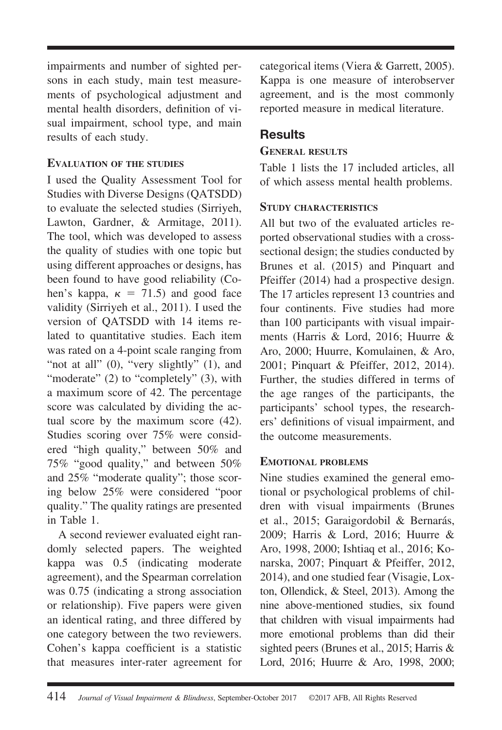impairments and number of sighted persons in each study, main test measurements of psychological adjustment and mental health disorders, definition of visual impairment, school type, and main results of each study.

## **EVALUATION OF THE STUDIES**

I used the Quality Assessment Tool for Studies with Diverse Designs (QATSDD) to evaluate the selected studies (Sirriyeh, Lawton, Gardner, & Armitage, 2011). The tool, which was developed to assess the quality of studies with one topic but using different approaches or designs, has been found to have good reliability (Cohen's kappa,  $\kappa = 71.5$  and good face validity (Sirriyeh et al., 2011). I used the version of QATSDD with 14 items related to quantitative studies. Each item was rated on a 4-point scale ranging from "not at all" (0), "very slightly" (1), and "moderate" (2) to "completely" (3), with a maximum score of 42. The percentage score was calculated by dividing the actual score by the maximum score (42). Studies scoring over 75% were considered "high quality," between 50% and 75% "good quality," and between 50% and 25% "moderate quality"; those scoring below 25% were considered "poor quality." The quality ratings are presented in Table 1.

A second reviewer evaluated eight randomly selected papers. The weighted kappa was 0.5 (indicating moderate agreement), and the Spearman correlation was 0.75 (indicating a strong association or relationship). Five papers were given an identical rating, and three differed by one category between the two reviewers. Cohen's kappa coefficient is a statistic that measures inter-rater agreement for

categorical items (Viera & Garrett, 2005). Kappa is one measure of interobserver agreement, and is the most commonly reported measure in medical literature.

# **Results**

## **GENERAL RESULTS**

Table 1 lists the 17 included articles, all of which assess mental health problems.

## **STUDY CHARACTERISTICS**

All but two of the evaluated articles reported observational studies with a crosssectional design; the studies conducted by Brunes et al. (2015) and Pinquart and Pfeiffer (2014) had a prospective design. The 17 articles represent 13 countries and four continents. Five studies had more than 100 participants with visual impairments (Harris & Lord, 2016; Huurre & Aro, 2000; Huurre, Komulainen, & Aro, 2001; Pinquart & Pfeiffer, 2012, 2014). Further, the studies differed in terms of the age ranges of the participants, the participants' school types, the researchers' definitions of visual impairment, and the outcome measurements.

#### **EMOTIONAL PROBLEMS**

Nine studies examined the general emotional or psychological problems of children with visual impairments (Brunes et al., 2015; Garaigordobil & Bernarás, 2009; Harris & Lord, 2016; Huurre & Aro, 1998, 2000; Ishtiaq et al., 2016; Konarska, 2007; Pinquart & Pfeiffer, 2012, 2014), and one studied fear (Visagie, Loxton, Ollendick, & Steel, 2013). Among the nine above-mentioned studies, six found that children with visual impairments had more emotional problems than did their sighted peers (Brunes et al., 2015; Harris & Lord, 2016; Huurre & Aro, 1998, 2000;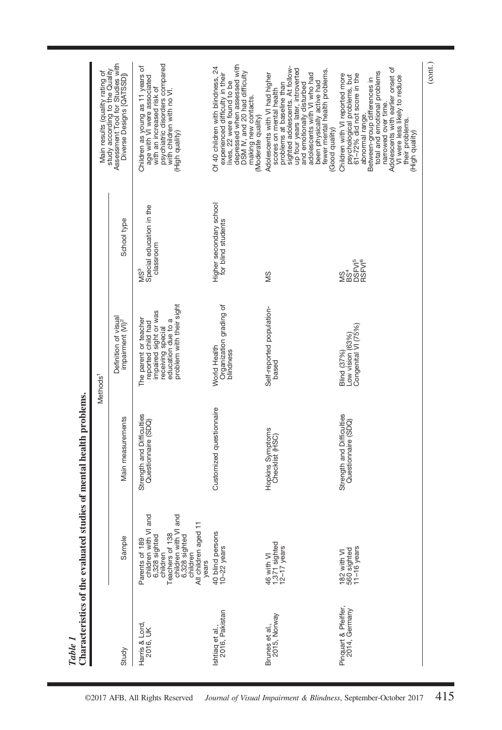| Table                                 | Characteristics of the evaluated studi                                                                                                                                       | les of mental health problems.                   | Methods <sup>1</sup>                                                                                                                        |                                                                          | Main results (quality rating of                                                                                                                                                                                                                                                                                   |
|---------------------------------------|------------------------------------------------------------------------------------------------------------------------------------------------------------------------------|--------------------------------------------------|---------------------------------------------------------------------------------------------------------------------------------------------|--------------------------------------------------------------------------|-------------------------------------------------------------------------------------------------------------------------------------------------------------------------------------------------------------------------------------------------------------------------------------------------------------------|
|                                       | Sample                                                                                                                                                                       | Main measurements                                | Definition of visual<br>impairment (VI) <sup>2</sup>                                                                                        | School type                                                              | study according to the Quality<br>Assessment Tool for Studies with<br>Diverse Designs [QATSSD])                                                                                                                                                                                                                   |
| Harris & Lord,<br>2016, UK            | children with VI and<br>children with VI and<br>6,328 sighted<br>All children aged 11<br>Teachers of 138<br>6,328 sighted<br>Parents of 189<br>children<br>children<br>years | Strength and Difficulties<br>Questionnaire (SDQ) | problem with their sight<br>impaired sight or was<br>The parent or teacher<br>education due to a<br>reported child had<br>receiving special | Special education in the<br>classroom<br>δs                              | psychiatric disorders compared<br>Children as young as 11 years of<br>age with VI were associated<br>with an increased risk of<br>with children with no VI.<br>(High quality)                                                                                                                                     |
| Ishtiaq et al.,<br>2016, Pakistan     | 40 blind persons<br>10 $-22$ years                                                                                                                                           | Customized questionnaire                         | Organization grading of<br>World Health<br>blindness                                                                                        | Higher secondary school<br>for blind students                            | depressed when assessed with<br>Of 40 children with blindness, 24<br>DSM IV, and 20 had difficulty<br>experienced difficulty in their<br>lives, 22 were found to be<br>making new contacts.<br>(Moderate quality)                                                                                                 |
| Brunes et al.,<br>2015, Norway        | 46 with VI<br>1,371 sighted<br>12–17 years                                                                                                                                   | Hopkins Symptoms<br>Checklist (HSC)              | Self-reported population-<br>based                                                                                                          | SM                                                                       | sighted adolescents. At follow-<br>up four years later, introverted<br>fewer méntal health problems.<br>Adolescents with VI had higher<br>adolescents with VI who had<br>been physically active had<br>problems at baseline than<br>and emotionally disturbed<br>scores on mental health<br>(Good quality)        |
| Pinquart & Pfeiffer,<br>2014, Germany | 182 with VI<br>560 sighted<br>11-16 years                                                                                                                                    | Strength and Difficulties<br>Questionnaire (SDQ) | Congenital VI (75%)<br>Low vision (63%)<br>Blind (37%)                                                                                      | <b>MS<br/>BS<sup>4</sup><br/>RSFVI<sup>5</sup><br/>RSFVI<sup>6</sup></b> | Adolescents with earlier onset of<br>total and emotional problems<br>psychological problems, but<br>61-72% did not score in the<br>Children with VI reported more<br>VI were less likely to reduce<br>abnormal range.<br>Between-group differences in<br>narrowed over time.<br>their problems.<br>(High quality) |
|                                       |                                                                                                                                                                              |                                                  |                                                                                                                                             |                                                                          |                                                                                                                                                                                                                                                                                                                   |

(cont.)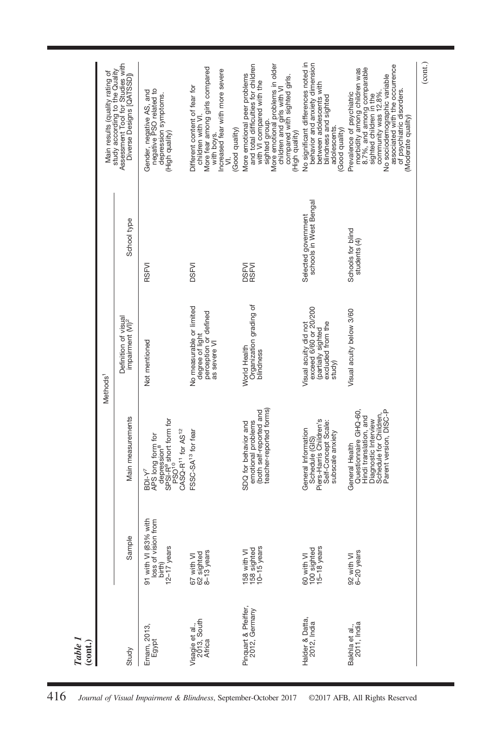| Main results (quality rating of | study according to the Quality<br>Assessment Tool for Studies with<br>Diverse Designs [QATSSD]) | Gender, negative AS, and<br>negative PSO related to<br>depression symptoms.<br>(High quality)                                        | More fear among girls compared<br>Increased fear with more severe<br>Different content of fear for<br>children with VI.<br>(Good quality)<br>with boys.<br>$\leq$ | and total difficulties for children<br>More emotional problems in older<br>More emotional peer problems<br>compared with sighted girls.<br>with VI compared with the<br>children and girls with VI<br>sighted group.<br>(High quality) | No significant differences noted in<br>behavior and anxiety dimension<br>between adolescents with<br>blindness and sighted<br>adolescents.<br>(Good quality) | associated with the occurrence<br>8.7%, and among comparable<br>morbidity among children was<br>No sociodemographic variable<br>of psychiatric disorders.<br>sighted children in the<br>community was 12.8%.<br>Prevalence of psychiatric<br>Moderate quality |
|---------------------------------|-------------------------------------------------------------------------------------------------|--------------------------------------------------------------------------------------------------------------------------------------|-------------------------------------------------------------------------------------------------------------------------------------------------------------------|----------------------------------------------------------------------------------------------------------------------------------------------------------------------------------------------------------------------------------------|--------------------------------------------------------------------------------------------------------------------------------------------------------------|---------------------------------------------------------------------------------------------------------------------------------------------------------------------------------------------------------------------------------------------------------------|
|                                 | School type                                                                                     | <b>RSFVI</b>                                                                                                                         | <b>DSFVI</b>                                                                                                                                                      | DSFVI<br>RSFVI                                                                                                                                                                                                                         | schools in West Bengal<br>Selected government                                                                                                                | Schools for blind<br>students (4)                                                                                                                                                                                                                             |
| Methods <sup>1</sup>            | Definition of visual<br>impairment (VI) <sup>2</sup>                                            | Not mentioned                                                                                                                        | No measurable or limited<br>perception or defined<br>as severe VI<br>degree of light                                                                              | Organization grading of<br>World Health<br>blindness                                                                                                                                                                                   | exceed 6/60 or 20/200<br>excluded from the<br>Visual acuity did not<br>partially sighted<br>study)                                                           | Visual acuity below 3/60                                                                                                                                                                                                                                      |
|                                 | Main measurements                                                                               | SPSI-R <sup>9</sup> short form for<br>PSO <sup>10</sup><br>CASQ-R <sup>11</sup> for AS <sup>12</sup><br>APS long form for<br>$BDI-Y$ | FSSC-SA <sup>13</sup> for fear                                                                                                                                    | teacher-reported forms)<br>(both self-reported and<br>emotional problems<br>SDQ for behavior and                                                                                                                                       | Piers-Harris Children's<br>Self-Concept Scale:<br>General Information<br>subscale anxiety<br>Schedule (GIS)                                                  | Schedule for Children,<br>Parent version, DISC-P<br>Questionnaire GHQ-60<br>Hindi translation, and<br>Diagnostic Interview<br>General Health                                                                                                                  |
|                                 | Sample                                                                                          | 91 with VI (83% with<br>loss of vision from<br>birth)<br>$12 - 17$ years                                                             | 67 with VI<br>62 sighted<br>8-13 years                                                                                                                            | 158 with VI<br>158 sighted<br>10–15 years                                                                                                                                                                                              | 60 with VI<br>100 sighted<br>15–18 years                                                                                                                     | 92 with VI<br>6-20 years                                                                                                                                                                                                                                      |
| Table.<br>cont.                 | Study                                                                                           | Emam, 2013,                                                                                                                          | Visagie et al.,<br>2013, South<br>Africa                                                                                                                          | Pinquart & Pfeiffer,<br>2012, Germany                                                                                                                                                                                                  | Halder & Datta,<br>2012, India                                                                                                                               | Bakhla et al.,<br>2011, India                                                                                                                                                                                                                                 |

(cont.)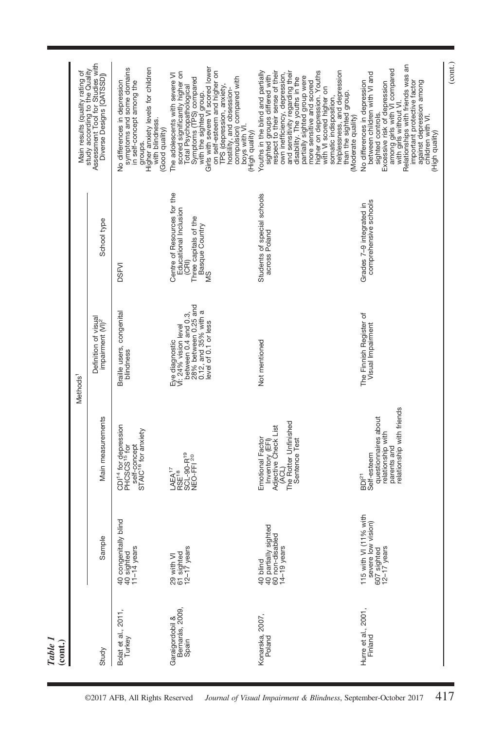| Table 1<br>(cont.) | Methods <sup>1</sup> | Definition of visual<br>impairment (VI) <sup>2</sup><br>Main measurements<br>Sample<br>Study                                                      | DSFVI<br>Braille users, congenital<br>blindness<br>CDI <sup>14</sup> for depression<br>self-concept<br>STAIC <sup>16</sup> for anxiety<br>PHCSCS <sup>15</sup> for<br>40 congenitally blind<br>40 sighted<br>11–14 years<br>Bolat et al., 2011,<br>Turkey | Three capitals of the<br>Basque Country<br>MS<br>(CRI)<br>28% between 0.25 and<br>$0.12$ , and 35% with a<br>level of 0.1 or less<br>between 0.4 and 0.3,<br>Eye diagnostic<br>VI: 24% vision level<br>SCL-90-R <sup>19</sup><br>NEO-FFI <sup>20</sup><br>LAEA <sup>17</sup><br>RSE <sup>18</sup><br>29 with VI<br>61 sighted<br>12-17 years<br>Bernarás, 2009,<br>Garaigordobil &<br>Spain                 | across Poland<br>Not mentioned<br>The Rotter Unfinished<br>Sentence Test<br>Adjective Check List<br>Emotional Factor<br>Inventory (EFI)<br>(ACL)<br>40 partially sighted<br>60 non-disabled<br>14–19 years<br>40 blind<br>Konarska, 2007,<br>Poland                                                                                                                                                                                                                          | The Finnish Register of<br>Visual Impairment<br>relationship with friends<br>questionnaires about<br>relationship with<br>parents and<br>Self-esteem<br>BDI <sup>21</sup><br>115 with VI (11% with<br>severe low vision)<br>607 sighted<br>12-17 years<br>Hurre et al., 2001,<br>Finland                                                              |
|--------------------|----------------------|---------------------------------------------------------------------------------------------------------------------------------------------------|-----------------------------------------------------------------------------------------------------------------------------------------------------------------------------------------------------------------------------------------------------------|-------------------------------------------------------------------------------------------------------------------------------------------------------------------------------------------------------------------------------------------------------------------------------------------------------------------------------------------------------------------------------------------------------------|------------------------------------------------------------------------------------------------------------------------------------------------------------------------------------------------------------------------------------------------------------------------------------------------------------------------------------------------------------------------------------------------------------------------------------------------------------------------------|-------------------------------------------------------------------------------------------------------------------------------------------------------------------------------------------------------------------------------------------------------------------------------------------------------------------------------------------------------|
|                    |                      | Main results (quality rating of<br>study according to the Quality<br>Assessment Tool for Studies with<br>Diverse Designs [QATSSD])<br>School type | symptoms and some domains<br>in self-concept among the<br>Higher anxiety levels for children<br>with blindness.<br>No differences in depression<br>(Good quality)<br>groups.                                                                              | scored significantly higher on<br>Total Psychopathological<br>Sythoms (TPS) compared<br>with the System of Compared<br>irls with severe VI scored lower<br>on self-esteem and higher on<br>The adolescents with severe VI<br>compulsion) compared with<br>boys with VI.<br>(High quality)<br>TPS (depression, anxiety,<br>hostility, and obsession-<br>Centre of Resources for the<br>Educational Inclusion | sighted groups differed with<br>respect to their sense of their<br>helplessness, and depression<br>higher on depression. Youths<br>with VI scored higher on<br>Youths in the blind and partially<br>and sensitivity regarding their<br>disability. The youths in the<br>partially sighted group were<br>own inefficiency, depression,<br>more sensitive and scored<br>than the sighted group.<br>(Moderate quality)<br>somatic indisposition,<br>Students of special schools | Relationships with friends was an<br>among girls with VI compared<br>with girls without VI.<br>between children with VI and<br>No differences in depression<br>important protective factor<br>against depression among<br>Excessive risk of depression<br>sighted controls.<br>children with VI.<br>comprehensive schools<br>Grades 7-9 integrated in |

(cont.)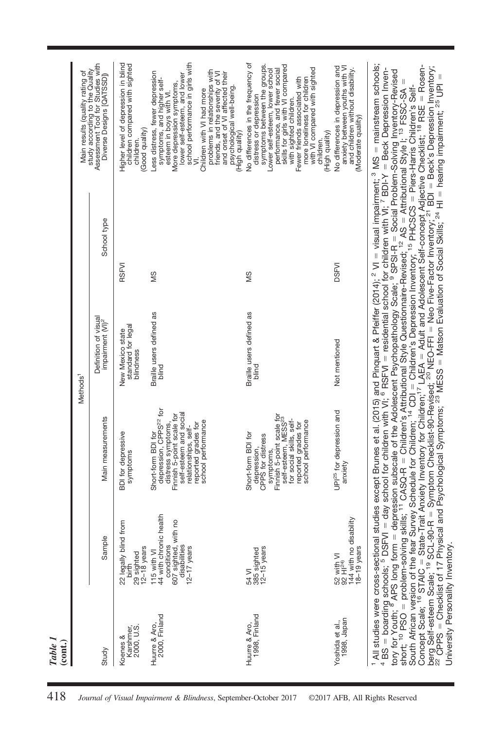|                                     |                                                                                                            |                                                                                                                                                                                                              | Methods <sup>1</sup>                                 |              | Main results (quality rating of                                                                                                                                                                                                                                                                                                                                                                |
|-------------------------------------|------------------------------------------------------------------------------------------------------------|--------------------------------------------------------------------------------------------------------------------------------------------------------------------------------------------------------------|------------------------------------------------------|--------------|------------------------------------------------------------------------------------------------------------------------------------------------------------------------------------------------------------------------------------------------------------------------------------------------------------------------------------------------------------------------------------------------|
| Study                               | Sample                                                                                                     | Main measurements                                                                                                                                                                                            | Definition of visual<br>impairment (VI) <sup>2</sup> | School type  | study according to the Quality<br>Assessment Tool for Studies with<br>Diverse Designs [QATSSD])                                                                                                                                                                                                                                                                                                |
| Karshmer,<br>2000, U.S.<br>Koenes & | 22 legally blind from<br>29 sighted<br>12-18 years                                                         | <b>BDI</b> for depressive<br>symptoms                                                                                                                                                                        | standard for legal<br>New Mexico state<br>blindness  | <b>RSFVI</b> | Higher level of depression in blind<br>children compared with sighted<br>(Good quality)<br>children.                                                                                                                                                                                                                                                                                           |
| Huurre & Aro,<br>2000, Finland      | 44 with chronic health<br>607 sighted, with no<br>disabilities<br>conditions<br>12-17 years<br>115 with VI | depression, CPPS <sup>22</sup> for<br>self-esteem and social<br>Finnish 5-point scale for<br>school performance<br>distress symptoms,<br>reported grades for<br>relationships, self-<br>Short-form BDI for   | Braille users defined as<br>blind                    | SM           | school performance in girls with<br>problems in relationships with<br>Less distress, fewer depression<br>friends, and the severity of VI<br>and onset of VI affected their<br>lower self-esteem, and lower<br>symptoms, and higher self-<br>More depression symptoms,<br>psychological well-being.<br>Children with VI had more<br>esteem in boys with VI.<br>(High quality)<br>$\overline{z}$ |
| Huurre & Aro,<br>1998, Finland      | 385 sighted<br>12-15 years<br>54 VI                                                                        | Finnish 5-point scale for<br>self-esteem, MESS <sup>23</sup><br>for social skills, self-<br>school performance<br>reported grades for<br>Short-form BDI for<br>depression,<br>CPPS for distress<br>symptoms, | Braille users defined as                             | SM           | No differences in the frequency of<br>symptoms between the groups.<br>performance, and fewer social<br>skills for girls with VI compared<br>with VI compared with sighted<br>Lower self-esteem, lower school<br>Fewer friends associated with<br>more loneliness for children<br>distress or depression<br>with sighted children.<br>(High quality)<br>children.                               |
| Yoshida et al.,<br>1998, Japan      | 52 with VI<br>92 HI <sup>24)</sup><br>144 with no disability<br>18–19 years                                | UPI <sup>25</sup> for depression and<br>anxiety                                                                                                                                                              | Not mentioned                                        | <b>DSFVI</b> | anxiety between youths with VI<br>No differences in depression and<br>and children without disability.<br>(Moderate quality)                                                                                                                                                                                                                                                                   |

University Personality Inventory.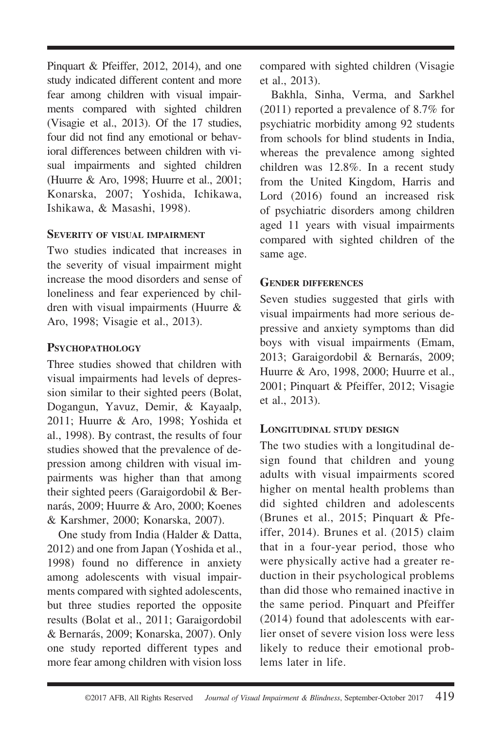Pinquart & Pfeiffer, 2012, 2014), and one study indicated different content and more fear among children with visual impairments compared with sighted children (Visagie et al., 2013). Of the 17 studies, four did not find any emotional or behavioral differences between children with visual impairments and sighted children (Huurre & Aro, 1998; Huurre et al., 2001; Konarska, 2007; Yoshida, Ichikawa, Ishikawa, & Masashi, 1998).

#### **SEVERITY OF VISUAL IMPAIRMENT**

Two studies indicated that increases in the severity of visual impairment might increase the mood disorders and sense of loneliness and fear experienced by children with visual impairments (Huurre & Aro, 1998; Visagie et al., 2013).

#### **PSYCHOPATHOLOGY**

Three studies showed that children with visual impairments had levels of depression similar to their sighted peers (Bolat, Dogangun, Yavuz, Demir, & Kayaalp, 2011; Huurre & Aro, 1998; Yoshida et al., 1998). By contrast, the results of four studies showed that the prevalence of depression among children with visual impairments was higher than that among their sighted peers (Garaigordobil & Bernarás, 2009; Huurre & Aro, 2000; Koenes & Karshmer, 2000; Konarska, 2007).

One study from India (Halder & Datta, 2012) and one from Japan (Yoshida et al., 1998) found no difference in anxiety among adolescents with visual impairments compared with sighted adolescents, but three studies reported the opposite results (Bolat et al., 2011; Garaigordobil & Bernarás, 2009; Konarska, 2007). Only one study reported different types and more fear among children with vision loss compared with sighted children (Visagie et al., 2013).

Bakhla, Sinha, Verma, and Sarkhel (2011) reported a prevalence of 8.7% for psychiatric morbidity among 92 students from schools for blind students in India, whereas the prevalence among sighted children was 12.8%. In a recent study from the United Kingdom, Harris and Lord (2016) found an increased risk of psychiatric disorders among children aged 11 years with visual impairments compared with sighted children of the same age.

#### **GENDER DIFFERENCES**

Seven studies suggested that girls with visual impairments had more serious depressive and anxiety symptoms than did boys with visual impairments (Emam, 2013; Garaigordobil & Bernarás, 2009; Huurre & Aro, 1998, 2000; Huurre et al., 2001; Pinquart & Pfeiffer, 2012; Visagie et al., 2013).

#### **LONGITUDINAL STUDY DESIGN**

The two studies with a longitudinal design found that children and young adults with visual impairments scored higher on mental health problems than did sighted children and adolescents (Brunes et al., 2015; Pinquart & Pfeiffer, 2014). Brunes et al. (2015) claim that in a four-year period, those who were physically active had a greater reduction in their psychological problems than did those who remained inactive in the same period. Pinquart and Pfeiffer (2014) found that adolescents with earlier onset of severe vision loss were less likely to reduce their emotional problems later in life.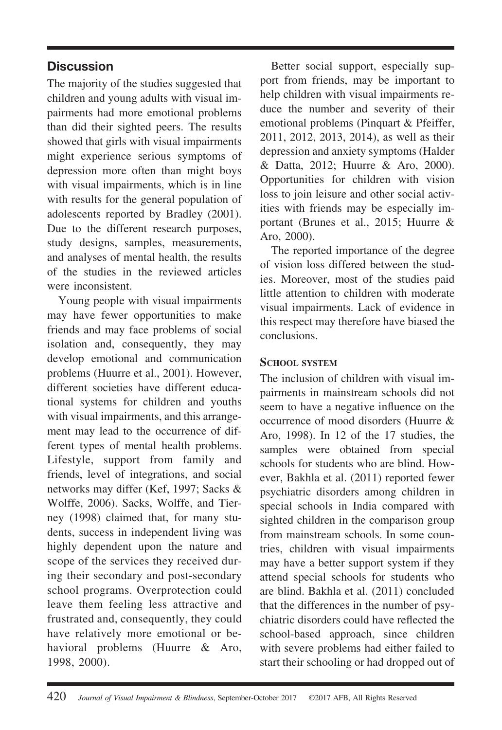# **Discussion**

The majority of the studies suggested that children and young adults with visual impairments had more emotional problems than did their sighted peers. The results showed that girls with visual impairments might experience serious symptoms of depression more often than might boys with visual impairments, which is in line with results for the general population of adolescents reported by Bradley (2001). Due to the different research purposes, study designs, samples, measurements, and analyses of mental health, the results of the studies in the reviewed articles were inconsistent.

Young people with visual impairments may have fewer opportunities to make friends and may face problems of social isolation and, consequently, they may develop emotional and communication problems (Huurre et al., 2001). However, different societies have different educational systems for children and youths with visual impairments, and this arrangement may lead to the occurrence of different types of mental health problems. Lifestyle, support from family and friends, level of integrations, and social networks may differ (Kef, 1997; Sacks & Wolffe, 2006). Sacks, Wolffe, and Tierney (1998) claimed that, for many students, success in independent living was highly dependent upon the nature and scope of the services they received during their secondary and post-secondary school programs. Overprotection could leave them feeling less attractive and frustrated and, consequently, they could have relatively more emotional or behavioral problems (Huurre & Aro, 1998, 2000).

Better social support, especially support from friends, may be important to help children with visual impairments reduce the number and severity of their emotional problems (Pinquart & Pfeiffer, 2011, 2012, 2013, 2014), as well as their depression and anxiety symptoms (Halder & Datta, 2012; Huurre & Aro, 2000). Opportunities for children with vision loss to join leisure and other social activities with friends may be especially important (Brunes et al., 2015; Huurre & Aro, 2000).

The reported importance of the degree of vision loss differed between the studies. Moreover, most of the studies paid little attention to children with moderate visual impairments. Lack of evidence in this respect may therefore have biased the conclusions.

#### **SCHOOL SYSTEM**

The inclusion of children with visual impairments in mainstream schools did not seem to have a negative influence on the occurrence of mood disorders (Huurre & Aro, 1998). In 12 of the 17 studies, the samples were obtained from special schools for students who are blind. However, Bakhla et al. (2011) reported fewer psychiatric disorders among children in special schools in India compared with sighted children in the comparison group from mainstream schools. In some countries, children with visual impairments may have a better support system if they attend special schools for students who are blind. Bakhla et al. (2011) concluded that the differences in the number of psychiatric disorders could have reflected the school-based approach, since children with severe problems had either failed to start their schooling or had dropped out of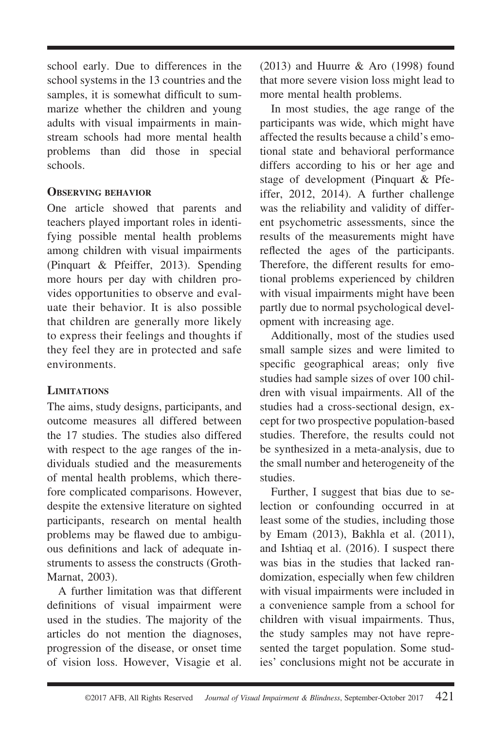school early. Due to differences in the school systems in the 13 countries and the samples, it is somewhat difficult to summarize whether the children and young adults with visual impairments in mainstream schools had more mental health problems than did those in special schools.

#### **OBSERVING BEHAVIOR**

One article showed that parents and teachers played important roles in identifying possible mental health problems among children with visual impairments (Pinquart & Pfeiffer, 2013). Spending more hours per day with children provides opportunities to observe and evaluate their behavior. It is also possible that children are generally more likely to express their feelings and thoughts if they feel they are in protected and safe environments.

## **LIMITATIONS**

The aims, study designs, participants, and outcome measures all differed between the 17 studies. The studies also differed with respect to the age ranges of the individuals studied and the measurements of mental health problems, which therefore complicated comparisons. However, despite the extensive literature on sighted participants, research on mental health problems may be flawed due to ambiguous definitions and lack of adequate instruments to assess the constructs (Groth-Marnat, 2003).

A further limitation was that different definitions of visual impairment were used in the studies. The majority of the articles do not mention the diagnoses, progression of the disease, or onset time of vision loss. However, Visagie et al. (2013) and Huurre & Aro (1998) found that more severe vision loss might lead to more mental health problems.

In most studies, the age range of the participants was wide, which might have affected the results because a child's emotional state and behavioral performance differs according to his or her age and stage of development (Pinquart & Pfeiffer, 2012, 2014). A further challenge was the reliability and validity of different psychometric assessments, since the results of the measurements might have reflected the ages of the participants. Therefore, the different results for emotional problems experienced by children with visual impairments might have been partly due to normal psychological development with increasing age.

Additionally, most of the studies used small sample sizes and were limited to specific geographical areas; only five studies had sample sizes of over 100 children with visual impairments. All of the studies had a cross-sectional design, except for two prospective population-based studies. Therefore, the results could not be synthesized in a meta-analysis, due to the small number and heterogeneity of the studies.

Further, I suggest that bias due to selection or confounding occurred in at least some of the studies, including those by Emam (2013), Bakhla et al. (2011), and Ishtiaq et al. (2016). I suspect there was bias in the studies that lacked randomization, especially when few children with visual impairments were included in a convenience sample from a school for children with visual impairments. Thus, the study samples may not have represented the target population. Some studies' conclusions might not be accurate in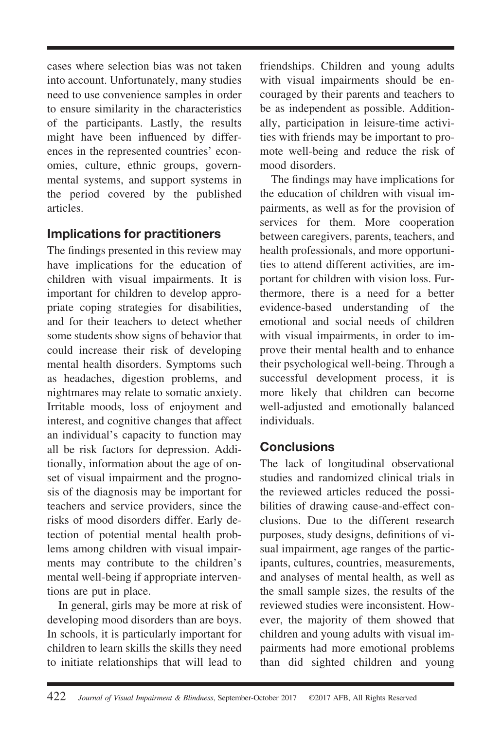cases where selection bias was not taken into account. Unfortunately, many studies need to use convenience samples in order to ensure similarity in the characteristics of the participants. Lastly, the results might have been influenced by differences in the represented countries' economies, culture, ethnic groups, governmental systems, and support systems in the period covered by the published articles.

# **Implications for practitioners**

The findings presented in this review may have implications for the education of children with visual impairments. It is important for children to develop appropriate coping strategies for disabilities, and for their teachers to detect whether some students show signs of behavior that could increase their risk of developing mental health disorders. Symptoms such as headaches, digestion problems, and nightmares may relate to somatic anxiety. Irritable moods, loss of enjoyment and interest, and cognitive changes that affect an individual's capacity to function may all be risk factors for depression. Additionally, information about the age of onset of visual impairment and the prognosis of the diagnosis may be important for teachers and service providers, since the risks of mood disorders differ. Early detection of potential mental health problems among children with visual impairments may contribute to the children's mental well-being if appropriate interventions are put in place.

In general, girls may be more at risk of developing mood disorders than are boys. In schools, it is particularly important for children to learn skills the skills they need to initiate relationships that will lead to

friendships. Children and young adults with visual impairments should be encouraged by their parents and teachers to be as independent as possible. Additionally, participation in leisure-time activities with friends may be important to promote well-being and reduce the risk of mood disorders.

The findings may have implications for the education of children with visual impairments, as well as for the provision of services for them. More cooperation between caregivers, parents, teachers, and health professionals, and more opportunities to attend different activities, are important for children with vision loss. Furthermore, there is a need for a better evidence-based understanding of the emotional and social needs of children with visual impairments, in order to improve their mental health and to enhance their psychological well-being. Through a successful development process, it is more likely that children can become well-adjusted and emotionally balanced individuals.

## **Conclusions**

The lack of longitudinal observational studies and randomized clinical trials in the reviewed articles reduced the possibilities of drawing cause-and-effect conclusions. Due to the different research purposes, study designs, definitions of visual impairment, age ranges of the participants, cultures, countries, measurements, and analyses of mental health, as well as the small sample sizes, the results of the reviewed studies were inconsistent. However, the majority of them showed that children and young adults with visual impairments had more emotional problems than did sighted children and young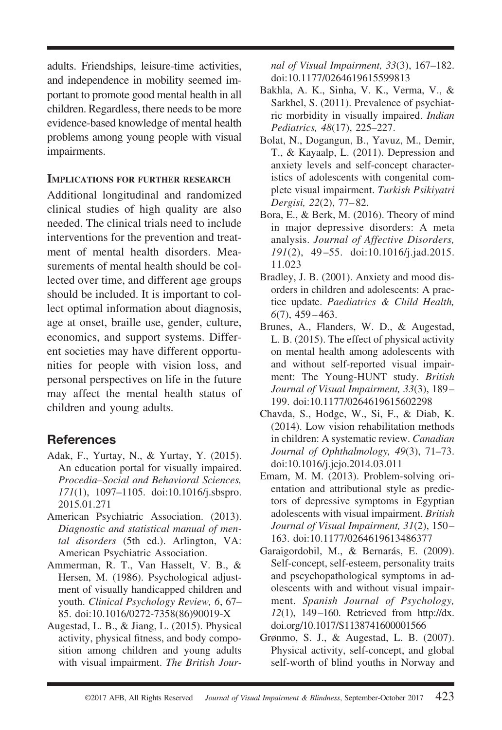adults. Friendships, leisure-time activities, and independence in mobility seemed important to promote good mental health in all children. Regardless, there needs to be more evidence-based knowledge of mental health problems among young people with visual impairments.

#### **IMPLICATIONS FOR FURTHER RESEARCH**

Additional longitudinal and randomized clinical studies of high quality are also needed. The clinical trials need to include interventions for the prevention and treatment of mental health disorders. Measurements of mental health should be collected over time, and different age groups should be included. It is important to collect optimal information about diagnosis, age at onset, braille use, gender, culture, economics, and support systems. Different societies may have different opportunities for people with vision loss, and personal perspectives on life in the future may affect the mental health status of children and young adults.

## **References**

- Adak, F., Yurtay, N., & Yurtay, Y. (2015). An education portal for visually impaired. *Procedia–Social and Behavioral Sciences, 171*(1), 1097–1105. doi:10.1016/j.sbspro. 2015.01.271
- American Psychiatric Association. (2013). *Diagnostic and statistical manual of mental disorders* (5th ed.). Arlington, VA: American Psychiatric Association.
- Ammerman, R. T., Van Hasselt, V. B., & Hersen, M. (1986). Psychological adjustment of visually handicapped children and youth. *Clinical Psychology Review, 6*, 67– 85. doi:10.1016/0272-7358(86)90019-X
- Augestad, L. B., & Jiang, L. (2015). Physical activity, physical fitness, and body composition among children and young adults with visual impairment. *The British Jour-*

*nal of Visual Impairment, 33*(3), 167–182. doi:10.1177/0264619615599813

- Bakhla, A. K., Sinha, V. K., Verma, V., & Sarkhel, S. (2011). Prevalence of psychiatric morbidity in visually impaired. *Indian Pediatrics, 48*(17), 225–227.
- Bolat, N., Dogangun, B., Yavuz, M., Demir, T., & Kayaalp, L. (2011). Depression and anxiety levels and self-concept characteristics of adolescents with congenital complete visual impairment. *Turkish Psikiyatri Dergisi, 22*(2), 77–82.
- Bora, E., & Berk, M. (2016). Theory of mind in major depressive disorders: A meta analysis. *Journal of Affective Disorders, 191*(2), 49 –55. doi:10.1016/j.jad.2015. 11.023
- Bradley, J. B. (2001). Anxiety and mood disorders in children and adolescents: A practice update. *Paediatrics & Child Health, 6*(7), 459–463.
- Brunes, A., Flanders, W. D., & Augestad, L. B. (2015). The effect of physical activity on mental health among adolescents with and without self-reported visual impairment: The Young-HUNT study. *British Journal of Visual Impairment, 33*(3), 189– 199. doi:10.1177/0264619615602298
- Chavda, S., Hodge, W., Si, F., & Diab, K. (2014). Low vision rehabilitation methods in children: A systematic review. *Canadian Journal of Ophthalmology, 49*(3), 71–73. doi:10.1016/j.jcjo.2014.03.011
- Emam, M. M. (2013). Problem-solving orientation and attributional style as predictors of depressive symptoms in Egyptian adolescents with visual impairment. *British Journal of Visual Impairment, 31*(2), 150– 163. doi:10.1177/0264619613486377
- Garaigordobil, M., & Bernarás, E. (2009). Self-concept, self-esteem, personality traits and pscychopathological symptoms in adolescents with and without visual impairment. *Spanish Journal of Psychology, 12*(1), 149 –160. Retrieved from [http://dx.](http://dx.doi.org/10.1017/S1138741600001566) [doi.org/10.1017/S1138741600001566](http://dx.doi.org/10.1017/S1138741600001566)
- Grønmo, S. J., & Augestad, L. B. (2007). Physical activity, self-concept, and global self-worth of blind youths in Norway and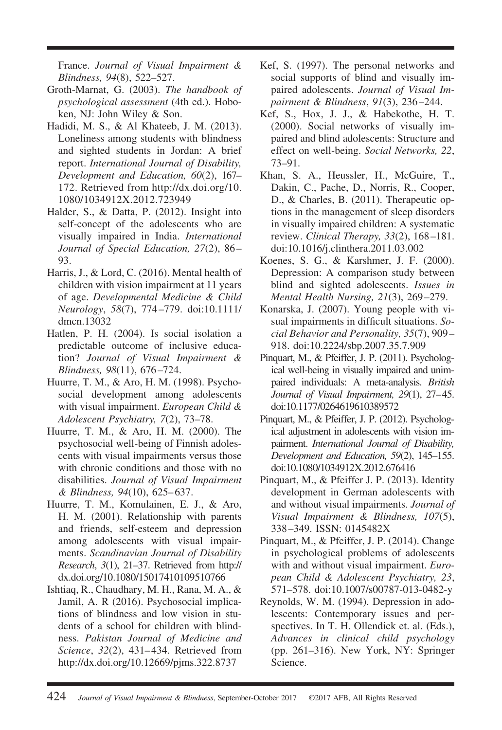France. *Journal of Visual Impairment & Blindness, 94*(8), 522–527.

- Groth-Marnat, G. (2003). *The handbook of psychological assessment* (4th ed.). Hoboken, NJ: John Wiley & Son.
- Hadidi, M. S., & Al Khateeb, J. M. (2013). Loneliness among students with blindness and sighted students in Jordan: A brief report. *International Journal of Disability, Development and Education, 60*(2), 167– 172. Retrieved from [http://dx.doi.org/10.](http://dx.doi.org/10.1080/1034912X.2012.723949) [1080/1034912X.2012.723949](http://dx.doi.org/10.1080/1034912X.2012.723949)
- Halder, S., & Datta, P. (2012). Insight into self-concept of the adolescents who are visually impaired in India. *International Journal of Special Education, 27*(2), 86– 93.
- Harris, J., & Lord, C. (2016). Mental health of children with vision impairment at 11 years of age. *Developmental Medicine & Child Neurology*, *58*(7), 774 –779. doi:10.1111/ dmcn.13032
- Hatlen, P. H. (2004). Is social isolation a predictable outcome of inclusive education? *Journal of Visual Impairment & Blindness, 98*(11), 676 –724.
- Huurre, T. M., & Aro, H. M. (1998). Psychosocial development among adolescents with visual impairment. *European Child & Adolescent Psychiatry, 7*(2), 73–78.
- Huurre, T. M., & Aro, H. M. (2000). The psychosocial well-being of Finnish adolescents with visual impairments versus those with chronic conditions and those with no disabilities. *Journal of Visual Impairment & Blindness, 94*(10), 625– 637.
- Huurre, T. M., Komulainen, E. J., & Aro, H. M. (2001). Relationship with parents and friends, self-esteem and depression among adolescents with visual impairments. *Scandinavian Journal of Disability Research*, *3*(1), 21–37. Retrieved from [http://](http://dx.doi.org/10.1080/15017410109510766) [dx.doi.org/10.1080/15017410109510766](http://dx.doi.org/10.1080/15017410109510766)
- Ishtiaq, R., Chaudhary, M. H., Rana, M. A., & Jamil, A. R (2016). Psychosocial implications of blindness and low vision in students of a school for children with blindness. *Pakistan Journal of Medicine and Science*, *32*(2), 431–434. Retrieved from <http://dx.doi.org/10.12669/pjms.322.8737>
- Kef, S. (1997). The personal networks and social supports of blind and visually impaired adolescents. *Journal of Visual Impairment & Blindness*, *91*(3), 236–244.
- Kef, S., Hox, J. J., & Habekothe, H. T. (2000). Social networks of visually impaired and blind adolescents: Structure and effect on well-being. *Social Networks, 22*, 73–91.
- Khan, S. A., Heussler, H., McGuire, T., Dakin, C., Pache, D., Norris, R., Cooper, D., & Charles, B. (2011). Therapeutic options in the management of sleep disorders in visually impaired children: A systematic review. *Clinical Therapy, 33*(2), 168–181. doi:10.1016/j.clinthera.2011.03.002
- Koenes, S. G., & Karshmer, J. F. (2000). Depression: A comparison study between blind and sighted adolescents. *Issues in Mental Health Nursing, 21*(3), 269–279.
- Konarska, J. (2007). Young people with visual impairments in difficult situations. *Social Behavior and Personality, 35*(7), 909– 918. doi:10.2224/sbp.2007.35.7.909
- Pinquart, M., & Pfeiffer, J. P. (2011). Psychological well-being in visually impaired and unimpaired individuals: A meta-analysis. *British Journal of Visual Impairment, 29*(1), 27–45. doi:10.1177/0264619610389572
- Pinquart, M., & Pfeiffer, J. P. (2012). Psychological adjustment in adolescents with vision impairment. *International Journal of Disability, Development and Education, 59*(2), 145–155. doi:10.1080/1034912X.2012.676416
- Pinquart, M., & Pfeiffer J. P. (2013). Identity development in German adolescents with and without visual impairments. *Journal of Visual Impairment & Blindness, 107*(5), 338–349. ISSN: 0145482X
- Pinquart, M., & Pfeiffer, J. P. (2014). Change in psychological problems of adolescents with and without visual impairment. *European Child & Adolescent Psychiatry, 23*, 571–578. doi:10.1007/s00787-013-0482-y
- Reynolds, W. M. (1994). Depression in adolescents: Contemporary issues and perspectives. In T. H. Ollendick et. al. (Eds.), *Advances in clinical child psychology* (pp. 261–316). New York, NY: Springer Science.